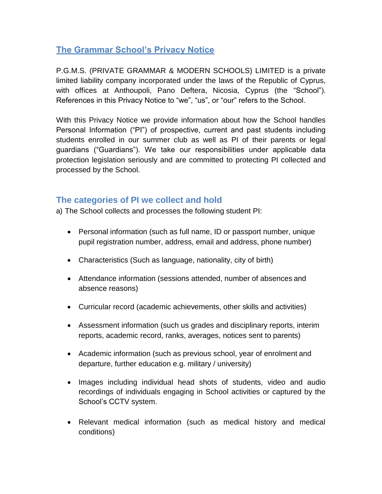## **The Grammar School's Privacy Notice**

P.G.M.S. (PRIVATE GRAMMAR & MODERN SCHOOLS) LIMITED is a private limited liability company incorporated under the laws of the Republic of Cyprus, with offices at Anthoupoli, Pano Deftera, Nicosia, Cyprus (the "School"). References in this Privacy Notice to "we", "us", or "our" refers to the School.

With this Privacy Notice we provide information about how the School handles Personal Information ("PI") of prospective, current and past students including students enrolled in our summer club as well as PI of their parents or legal guardians ("Guardians"). We take our responsibilities under applicable data protection legislation seriously and are committed to protecting PI collected and processed by the School.

## **The categories of PI we collect and hold**

a) The School collects and processes the following student PI:

- Personal information (such as full name, ID or passport number, unique pupil registration number, address, email and address, phone number)
- Characteristics (Such as language, nationality, city of birth)
- Attendance information (sessions attended, number of absences and absence reasons)
- Curricular record (academic achievements, other skills and activities)
- Assessment information (such us grades and disciplinary reports, interim reports, academic record, ranks, averages, notices sent to parents)
- Academic information (such as previous school, year of enrolment and departure, further education e.g. military / university)
- Images including individual head shots of students, video and audio recordings of individuals engaging in School activities or captured by the School's CCTV system.
- Relevant medical information (such as medical history and medical conditions)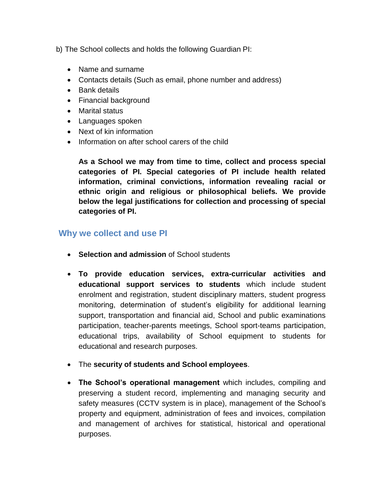b) The School collects and holds the following Guardian PI:

- Name and surname
- Contacts details (Such as email, phone number and address)
- Bank details
- Financial background
- Marital status
- Languages spoken
- Next of kin information
- Information on after school carers of the child

**As a School we may from time to time, collect and process special categories of PI. Special categories of PI include health related information, criminal convictions, information revealing racial or ethnic origin and religious or philosophical beliefs. We provide below the legal justifications for collection and processing of special categories of PI.**

## **Why we collect and use PI**

- **Selection and admission** of School students
- **To provide education services, extra-curricular activities and educational support services to students** which include student enrolment and registration, student disciplinary matters, student progress monitoring, determination of student's eligibility for additional learning support, transportation and financial aid, School and public examinations participation, teacher-parents meetings, School sport-teams participation, educational trips, availability of School equipment to students for educational and research purposes.
- The **security of students and School employees**.
- **The School's operational management** which includes, compiling and preserving a student record, implementing and managing security and safety measures (CCTV system is in place), management of the School's property and equipment, administration of fees and invoices, compilation and management of archives for statistical, historical and operational purposes.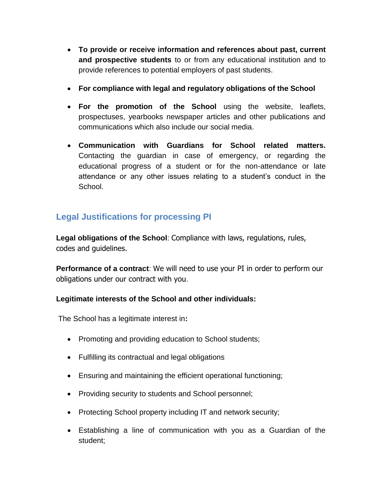- **To provide or receive information and references about past, current and prospective students** to or from any educational institution and to provide references to potential employers of past students.
- **For compliance with legal and regulatory obligations of the School**
- **For the promotion of the School** using the website, leaflets, prospectuses, yearbooks newspaper articles and other publications and communications which also include our social media.
- **Communication with Guardians for School related matters.**  Contacting the guardian in case of emergency, or regarding the educational progress of a student or for the non-attendance or late attendance or any other issues relating to a student's conduct in the School.

# **Legal Justifications for processing PI**

**Legal obligations of the School**: Compliance with laws, regulations, rules, codes and guidelines.

**Performance of a contract**: We will need to use your PI in order to perform our obligations under our contract with you.

## **Legitimate interests of the School and other individuals:**

The School has a legitimate interest in**:**

- Promoting and providing education to School students;
- Fulfilling its contractual and legal obligations
- Ensuring and maintaining the efficient operational functioning;
- Providing security to students and School personnel;
- Protecting School property including IT and network security;
- Establishing a line of communication with you as a Guardian of the student;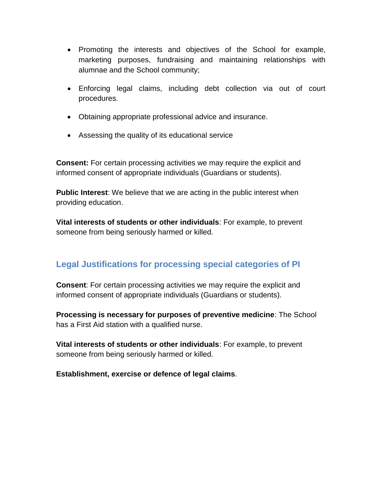- Promoting the interests and objectives of the School for example, marketing purposes, fundraising and maintaining relationships with alumnae and the School community;
- Enforcing legal claims, including debt collection via out of court procedures.
- Obtaining appropriate professional advice and insurance.
- Assessing the quality of its educational service

**Consent:** For certain processing activities we may require the explicit and informed consent of appropriate individuals (Guardians or students).

**Public Interest**: We believe that we are acting in the public interest when providing education.

**Vital interests of students or other individuals**: For example, to prevent someone from being seriously harmed or killed.

# **Legal Justifications for processing special categories of PI**

**Consent**: For certain processing activities we may require the explicit and informed consent of appropriate individuals (Guardians or students).

**Processing is necessary for purposes of preventive medicine**: The School has a First Aid station with a qualified nurse.

**Vital interests of students or other individuals**: For example, to prevent someone from being seriously harmed or killed.

**Establishment, exercise or defence of legal claims**.